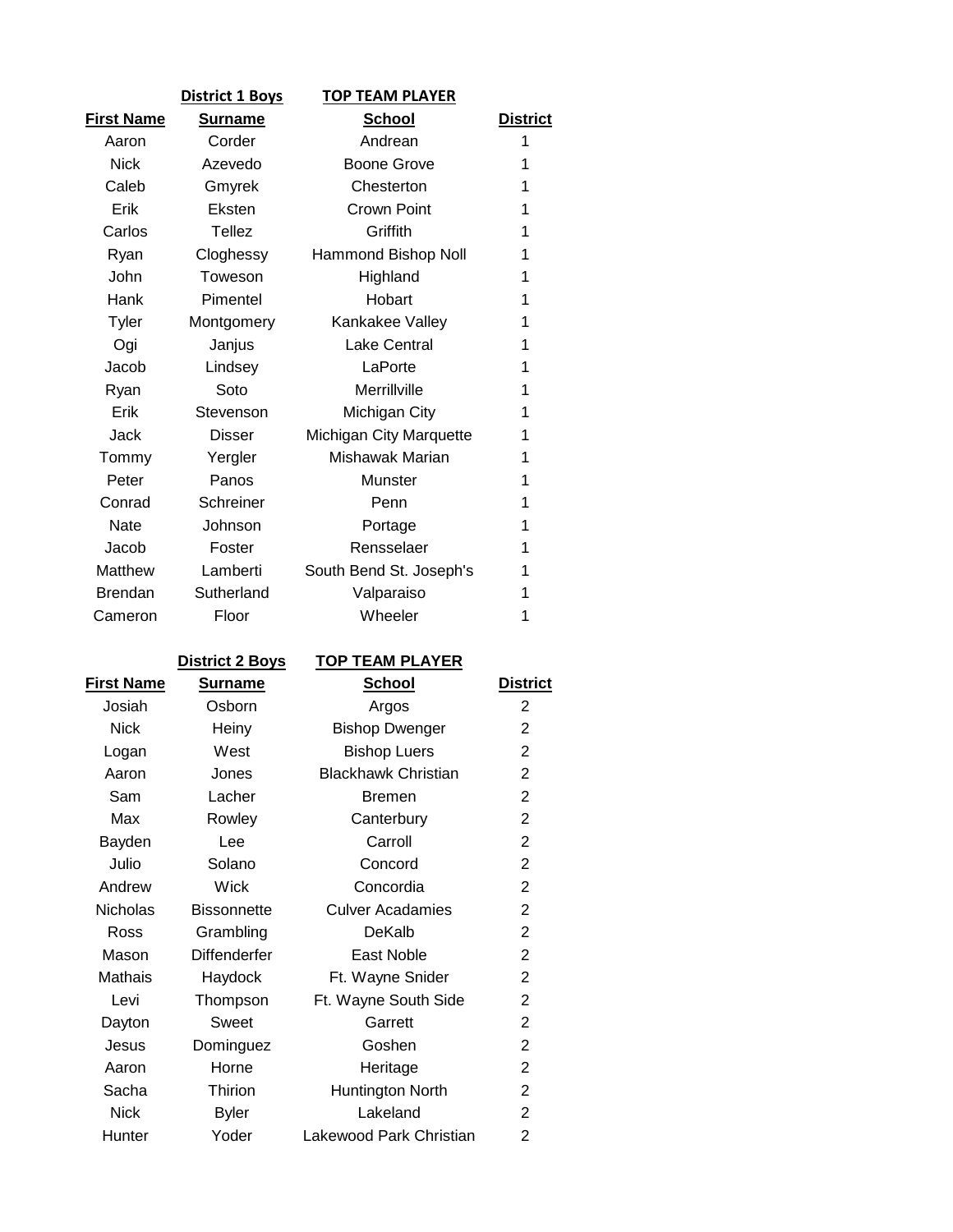|                   | District 1 Boys        | <b>TOP TEAM PLAYER</b>  |                 |
|-------------------|------------------------|-------------------------|-----------------|
| <b>First Name</b> | <b>Surname</b>         | <b>School</b>           | <b>District</b> |
| Aaron             | Corder                 | Andrean                 | 1               |
| <b>Nick</b>       | Azevedo                | <b>Boone Grove</b>      | 1               |
| Caleb             | Gmyrek                 | Chesterton              | 1               |
| Erik              | Eksten                 | <b>Crown Point</b>      | 1               |
| Carlos            | <b>Tellez</b>          | Griffith                | 1               |
| Ryan              | Cloghessy              | Hammond Bishop Noll     | 1               |
| John              | Toweson                | Highland                | 1               |
| Hank              | Pimentel               | Hobart                  | 1               |
| Tyler             | Montgomery             | Kankakee Valley         | 1               |
| Ogi               | Janjus                 | <b>Lake Central</b>     | 1               |
| Jacob             | Lindsey                | LaPorte                 | 1               |
| Ryan              | Soto                   | Merrillville            | 1               |
| Erik              | Stevenson              | Michigan City           | 1               |
| Jack              | Disser                 | Michigan City Marquette | 1               |
| Tommy             | Yergler                | Mishawak Marian         | 1               |
| Peter             | Panos                  | Munster                 | 1               |
| Conrad            | Schreiner              | Penn                    | 1               |
| <b>Nate</b>       | Johnson                | Portage                 | 1               |
| Jacob             | Foster                 | Rensselaer              | 1               |
| Matthew           | Lamberti               | South Bend St. Joseph's | 1               |
| <b>Brendan</b>    | Sutherland             | Valparaiso              | 1               |
| Cameron           | Floor                  | Wheeler                 | 1               |
|                   | <b>District 2 Boys</b> | <b>TOP TEAM PLAYER</b>  |                 |
| <b>First Name</b> | <b>Surname</b>         | <b>School</b>           | <b>District</b> |

| Josiah          | Osborn              | Argos                      | $\overline{2}$ |
|-----------------|---------------------|----------------------------|----------------|
| <b>Nick</b>     | Heiny               | <b>Bishop Dwenger</b>      | 2              |
| Logan           | West                | <b>Bishop Luers</b>        | $\overline{2}$ |
| Aaron           | Jones               | <b>Blackhawk Christian</b> | $\overline{2}$ |
| Sam             | Lacher              | Bremen                     | $\overline{2}$ |
| Max             | Rowley              | Canterbury                 | $\overline{2}$ |
| Bayden          | Lee                 | Carroll                    | $\overline{2}$ |
| Julio           | Solano              | Concord                    | $\overline{2}$ |
| Andrew          | Wick                | Concordia                  | $\overline{2}$ |
| <b>Nicholas</b> | <b>Bissonnette</b>  | <b>Culver Acadamies</b>    | $\overline{2}$ |
| Ross            | Grambling           | DeKalb                     | $\overline{2}$ |
| Mason           | <b>Diffenderfer</b> | East Noble                 | $\overline{2}$ |
| Mathais         | Haydock             | Ft. Wayne Snider           | $\overline{2}$ |
| Levi            | Thompson            | Ft. Wayne South Side       | $\overline{2}$ |
| Dayton          | Sweet               | Garrett                    | $\overline{2}$ |
| Jesus           | Dominguez           | Goshen                     | $\overline{2}$ |
| Aaron           | Horne               | Heritage                   | $\overline{2}$ |
| Sacha           | Thirion             | Huntington North           | $\overline{2}$ |
| <b>Nick</b>     | <b>Byler</b>        | Lakeland                   | $\overline{2}$ |
| Hunter          | Yoder               | Lakewood Park Christian    | $\overline{2}$ |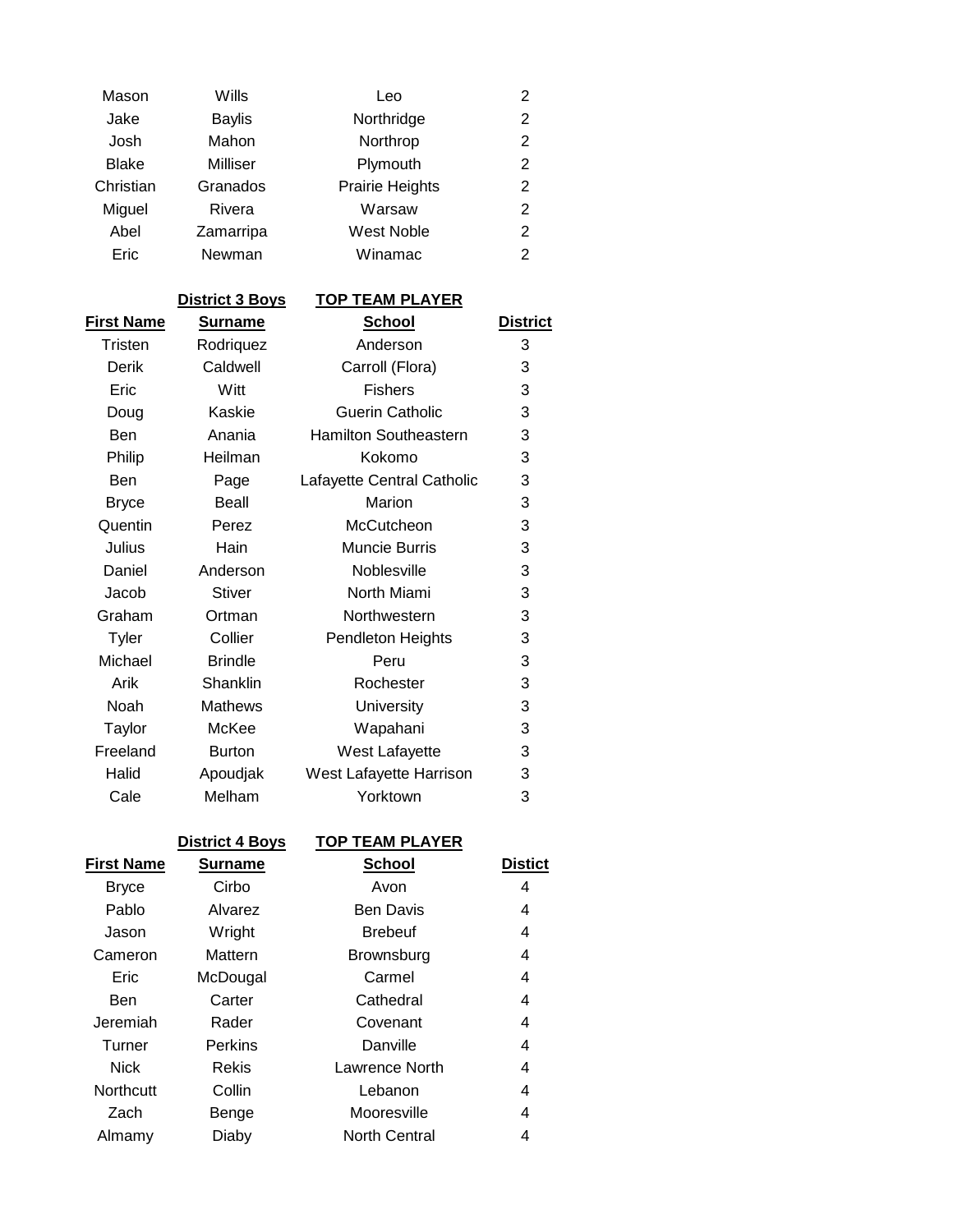| Mason             | Wills                  | Leo                          | 2               |
|-------------------|------------------------|------------------------------|-----------------|
| Jake              | <b>Baylis</b>          | Northridge                   | $\overline{2}$  |
| Josh              | Mahon                  | Northrop                     | $\overline{2}$  |
| <b>Blake</b>      | <b>Milliser</b>        | Plymouth                     | $\overline{c}$  |
| Christian         | Granados               | Prairie Heights              | $\overline{c}$  |
| Miguel            | Rivera                 | Warsaw                       | $\overline{2}$  |
| Abel              | Zamarripa              | West Noble                   | $\overline{2}$  |
| Eric              | Newman                 | Winamac                      | $\overline{2}$  |
|                   |                        |                              |                 |
|                   | <b>District 3 Boys</b> | <b>TOP TEAM PLAYER</b>       |                 |
| <b>First Name</b> | <b>Surname</b>         | <b>School</b>                | <b>District</b> |
| <b>Tristen</b>    | Rodriquez              | Anderson                     | 3               |
| <b>Derik</b>      | Caldwell               | Carroll (Flora)              | 3               |
| Eric              | Witt                   | <b>Fishers</b>               | 3               |
| Doug              | Kaskie                 | <b>Guerin Catholic</b>       | 3               |
| Ben               | Anania                 | <b>Hamilton Southeastern</b> | 3               |
| Philip            | Heilman                | Kokomo                       | 3               |
| Ben               | Page                   | Lafayette Central Catholic   | 3               |
| <b>Bryce</b>      | <b>Beall</b>           | Marion                       | 3               |
| Quentin           | Perez                  | McCutcheon                   | 3               |
| Julius            | Hain                   | <b>Muncie Burris</b>         | 3               |
| Daniel            | Anderson               | Noblesville                  | 3               |
| Jacob             | <b>Stiver</b>          | North Miami                  | 3               |
| Graham            | Ortman                 | Northwestern                 | 3               |
| Tyler             | Collier                | Pendleton Heights            | 3               |
| Michael           | <b>Brindle</b>         | Peru                         | 3               |
| Arik              | Shanklin               | Rochester                    | 3               |
| Noah              | <b>Mathews</b>         | University                   | 3               |
| Taylor            | McKee                  | Wapahani                     | 3               |
| Freeland          | <b>Burton</b>          | West Lafayette               | 3               |
| Halid             | Apoudjak               | West Lafayette Harrison      | 3               |
| Cale              | Melham                 | Yorktown                     | 3               |
|                   |                        |                              |                 |
|                   | <b>District 4 Boys</b> | <b>TOP TEAM PLAYER</b>       |                 |
| First Name        | <b>Surname</b>         | <b>School</b>                | <b>Distict</b>  |
| <b>Bryce</b>      | Cirbo                  | Avon                         | 4               |
| Pablo             | Alvarez                | <b>Ben Davis</b>             | 4               |
| Jason             | Wright                 | <b>Brebeuf</b>               | 4               |
| Cameron           | Mattern                | Brownsburg                   | 4               |
| Eric              | McDougal               | Carmel                       | 4               |
| <b>Ben</b>        | Carter                 | Cathedral                    | 4               |
| Jeremiah          | Rader                  | Covenant                     | 4               |
| Turner            | <b>Perkins</b>         | Danville                     | 4               |
| <b>Nick</b>       | <b>Rekis</b>           | Lawrence North               | 4               |
| Northcutt         | Collin                 | Lebanon                      | 4               |

Zach Benge Mooresville 4<br>1994 - Unamy Diaby North Central

Almamy Diaby North Central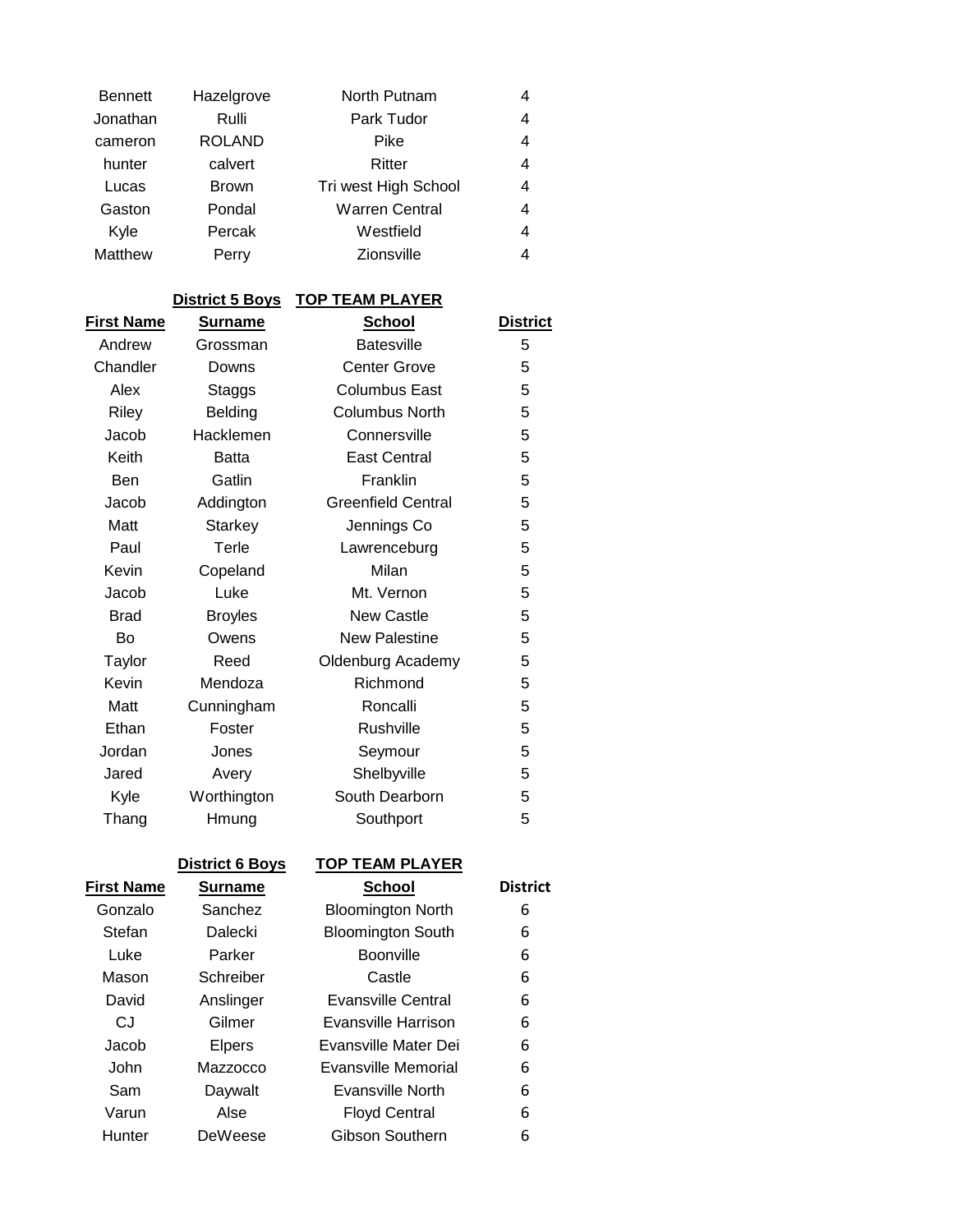| <b>Bennett</b> | Hazelgrove    | North Putnam          | 4 |
|----------------|---------------|-----------------------|---|
| Jonathan       | Rulli         | Park Tudor            | 4 |
| cameron        | <b>ROLAND</b> | Pike                  | 4 |
| hunter         | calvert       | Ritter                | 4 |
| Lucas          | <b>Brown</b>  | Tri west High School  | 4 |
| Gaston         | Pondal        | <b>Warren Central</b> | 4 |
| Kyle           | Percak        | Westfield             | 4 |
| Matthew        | Perry         | <b>Zionsville</b>     | 4 |

|                   | District 5 Boys | <b>TOP TEAM PLAYER</b>    |                 |
|-------------------|-----------------|---------------------------|-----------------|
| <b>First Name</b> | <b>Surname</b>  | <b>School</b>             | <b>District</b> |
| Andrew            | Grossman        | <b>Batesville</b>         | 5               |
| Chandler          | Downs           | <b>Center Grove</b>       | 5               |
| Alex              | Staggs          | <b>Columbus East</b>      | 5               |
| Riley             | Belding         | <b>Columbus North</b>     | 5               |
| Jacob             | Hacklemen       | Connersville              | 5               |
| Keith             | Batta           | <b>East Central</b>       | 5               |
| Ben               | Gatlin          | Franklin                  | 5               |
| Jacob             | Addington       | <b>Greenfield Central</b> | 5               |
| Matt              | <b>Starkey</b>  | Jennings Co               | 5               |
| Paul              | Terle           | Lawrenceburg              | 5               |
| Kevin             | Copeland        | Milan                     | 5               |
| Jacob             | Luke            | Mt. Vernon                | 5               |
| <b>Brad</b>       | <b>Broyles</b>  | <b>New Castle</b>         | 5               |
| Bo                | Owens           | <b>New Palestine</b>      | 5               |
| Taylor            | Reed            | Oldenburg Academy         | 5               |
| Kevin             | Mendoza         | Richmond                  | 5               |
| Matt              | Cunningham      | Roncalli                  | 5               |
| Ethan             | Foster          | Rushville                 | 5               |
| Jordan            | Jones           | Seymour                   | 5               |
| Jared             | Avery           | Shelbyville               | 5               |
| Kyle              | Worthington     | South Dearborn            | 5               |
| Thang             | Hmung           | Southport                 | 5               |
|                   |                 |                           |                 |

|            | <b>District 6 Boys</b> | <b>TOP TEAM PLAYER</b>   |                 |
|------------|------------------------|--------------------------|-----------------|
| First Name | <b>Surname</b>         | <b>School</b>            | <b>District</b> |
| Gonzalo    | Sanchez                | <b>Bloomington North</b> | 6               |
| Stefan     | Dalecki                | <b>Bloomington South</b> | 6               |
| Luke       | Parker                 | <b>Boonville</b>         | 6               |
| Mason      | Schreiber              | Castle                   | 6               |
| David      | Anslinger              | Evansville Central       | 6               |
| CJ         | Gilmer                 | Evansville Harrison      | 6               |
| Jacob      | <b>Elpers</b>          | Evansville Mater Dei     | 6               |
| John       | Mazzocco               | Evansville Memorial      | 6               |
| Sam        | Daywalt                | Evansville North         | 6               |
| Varun      | Alse                   | <b>Floyd Central</b>     | 6               |
| Hunter     | DeWeese                | Gibson Southern          | 6               |